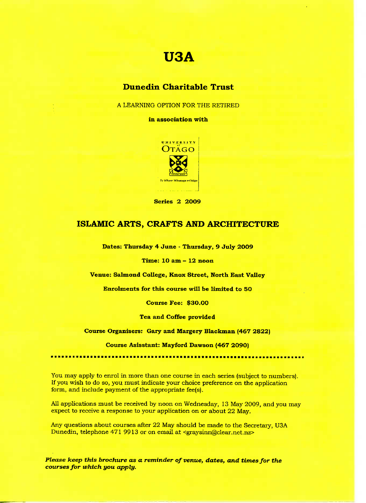# **U3A**

## **Dunedin Charitable Trust**

A LEARNING OPTION FOR THE RETIRED

**in association with**



**Series 2 2009**

### **ISLAMIC ARTS, CRAFTS AND ARCHITECTURE**

**Dates: Thursday 4 June - Thursday, 9 July 2009**

**Time: 10 am - 12 noon**

**Venue:** Salmond **College, Knox Street, North East Valley**

Enrolments **for this course will be limited to 50**

**Course Fee: \$30.00**

**Tea and Coffee provided**

**Course Organisers: Gary and Margery Blackman (467 2822)**

**Course Asisstant:** Mayford **Dawson (467 2O90)**

You may apply to enrol in more than one course in each series (subject to numbers). If you wish to do so, you must indicate your choice preference on the application form, and include payment of the appropriate fee(s).

All applications must be received by noon on Wednesday, 13 May 2009, and you may expect to receive a response to your application on or about 22 May.

Any questions about courses after 22 May should be made to the Secretary, USA Dunedin, telephone 471 9913 or on email at <graysinn@clear.net.nz>

*Please keep this brochure as a reminder of venue, dates, and times for the courses for which you apply.*